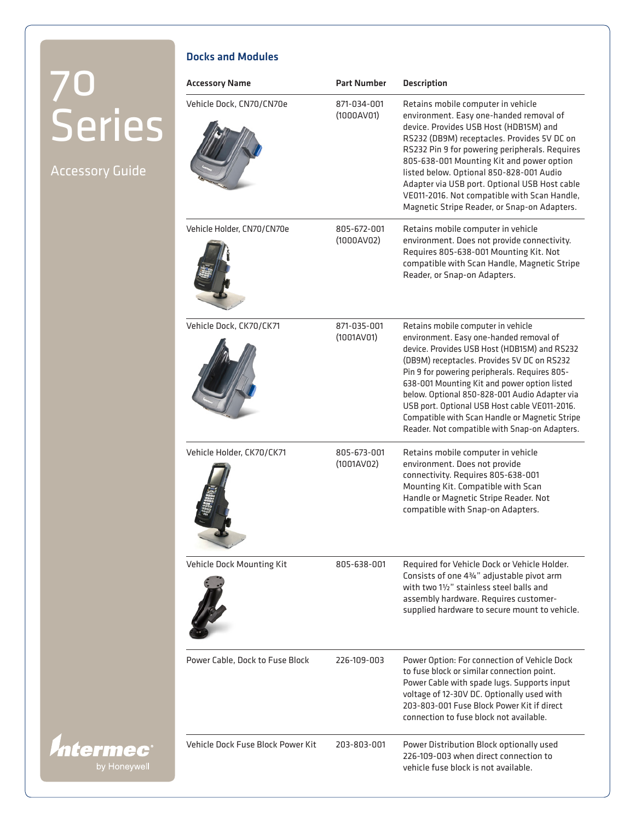Docks and Modules

Accessory Name **Part Number** Description

Accessory Guide

*Intermec®* 

| Vehicle Dock, CN70/CN70e          | 871-034-001<br>(1000AV01) | Retains mobile computer in vehicle<br>environment. Easy one-handed removal of<br>device. Provides USB Host (HDB15M) and<br>RS232 (DB9M) receptacles. Provides 5V DC on<br>RS232 Pin 9 for powering peripherals. Requires<br>805-638-001 Mounting Kit and power option<br>listed below. Optional 850-828-001 Audio<br>Adapter via USB port. Optional USB Host cable<br>VE011-2016. Not compatible with Scan Handle,<br>Magnetic Stripe Reader, or Snap-on Adapters.                 |
|-----------------------------------|---------------------------|------------------------------------------------------------------------------------------------------------------------------------------------------------------------------------------------------------------------------------------------------------------------------------------------------------------------------------------------------------------------------------------------------------------------------------------------------------------------------------|
| Vehicle Holder, CN70/CN70e        | 805-672-001<br>(1000AV02) | Retains mobile computer in vehicle<br>environment. Does not provide connectivity.<br>Requires 805-638-001 Mounting Kit. Not<br>compatible with Scan Handle, Magnetic Stripe<br>Reader, or Snap-on Adapters.                                                                                                                                                                                                                                                                        |
| Vehicle Dock, CK70/CK71           | 871-035-001<br>(1001AV01) | Retains mobile computer in vehicle<br>environment. Easy one-handed removal of<br>device. Provides USB Host (HDB15M) and RS232<br>(DB9M) receptacles. Provides 5V DC on RS232<br>Pin 9 for powering peripherals. Requires 805-<br>638-001 Mounting Kit and power option listed<br>below. Optional 850-828-001 Audio Adapter via<br>USB port. Optional USB Host cable VE011-2016.<br>Compatible with Scan Handle or Magnetic Stripe<br>Reader. Not compatible with Snap-on Adapters. |
| Vehicle Holder, CK70/CK71         | 805-673-001<br>(1001AV02) | Retains mobile computer in vehicle<br>environment. Does not provide<br>connectivity. Requires 805-638-001<br>Mounting Kit. Compatible with Scan<br>Handle or Magnetic Stripe Reader. Not<br>compatible with Snap-on Adapters.                                                                                                                                                                                                                                                      |
| Vehicle Dock Mounting Kit         | 805-638-001               | Required for Vehicle Dock or Vehicle Holder.<br>Consists of one 43/4" adjustable pivot arm<br>with two 11/2" stainless steel balls and<br>assembly hardware. Requires customer-<br>supplied hardware to secure mount to vehicle.                                                                                                                                                                                                                                                   |
| Power Cable, Dock to Fuse Block   | 226-109-003               | Power Option: For connection of Vehicle Dock<br>to fuse block or similar connection point.<br>Power Cable with spade lugs. Supports input<br>voltage of 12-30V DC. Optionally used with<br>203-803-001 Fuse Block Power Kit if direct<br>connection to fuse block not available.                                                                                                                                                                                                   |
| Vehicle Dock Fuse Block Power Kit | 203-803-001               | Power Distribution Block optionally used<br>226-109-003 when direct connection to<br>vehicle fuse block is not available.                                                                                                                                                                                                                                                                                                                                                          |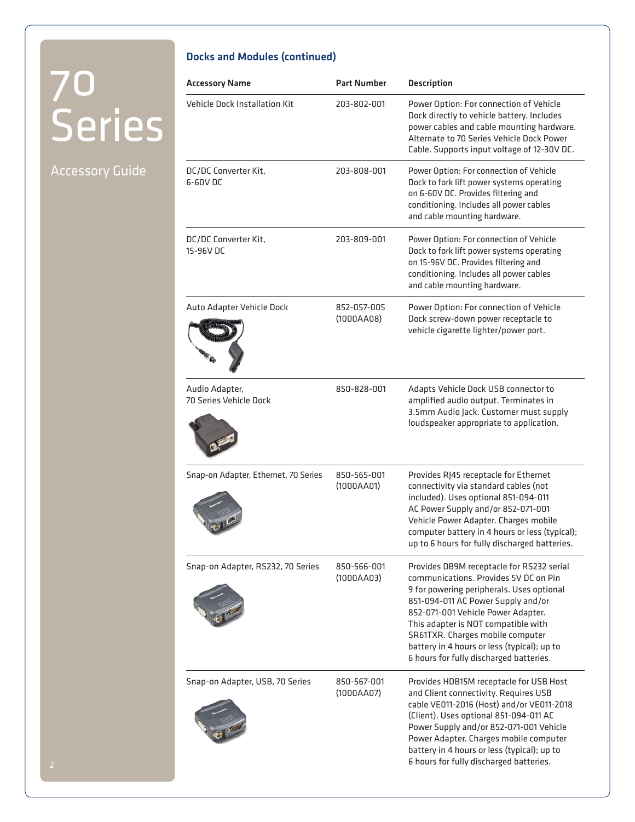#### Accessory Guide

#### Docks and Modules (continued)

|                        | <b>Accessory Name</b>                    | <b>Part Number</b>        | <b>Description</b>                                                                                                                                                                                                                                                                                                                                                               |
|------------------------|------------------------------------------|---------------------------|----------------------------------------------------------------------------------------------------------------------------------------------------------------------------------------------------------------------------------------------------------------------------------------------------------------------------------------------------------------------------------|
| <b>Series</b>          | Vehicle Dock Installation Kit            | 203-802-001               | Power Option: For connection of Vehicle<br>Dock directly to vehicle battery. Includes<br>power cables and cable mounting hardware.<br>Alternate to 70 Series Vehicle Dock Power<br>Cable. Supports input voltage of 12-30V DC.                                                                                                                                                   |
| <b>Accessory Guide</b> | DC/DC Converter Kit,<br>6-60V DC         | 203-808-001               | Power Option: For connection of Vehicle<br>Dock to fork lift power systems operating<br>on 6-60V DC. Provides filtering and<br>conditioning. Includes all power cables<br>and cable mounting hardware.                                                                                                                                                                           |
|                        | DC/DC Converter Kit,<br>15-96V DC        | 203-809-001               | Power Option: For connection of Vehicle<br>Dock to fork lift power systems operating<br>on 15-96V DC. Provides filtering and<br>conditioning. Includes all power cables<br>and cable mounting hardware.                                                                                                                                                                          |
|                        | Auto Adapter Vehicle Dock                | 852-057-005<br>(1000AAO8) | Power Option: For connection of Vehicle<br>Dock screw-down power receptacle to<br>vehicle cigarette lighter/power port.                                                                                                                                                                                                                                                          |
|                        | Audio Adapter,<br>70 Series Vehicle Dock | 850-828-001               | Adapts Vehicle Dock USB connector to<br>amplified audio output. Terminates in<br>3.5mm Audio Jack. Customer must supply<br>loudspeaker appropriate to application.                                                                                                                                                                                                               |
|                        | Snap-on Adapter, Ethernet, 70 Series     | 850-565-001<br>(1000AA01) | Provides RJ45 receptacle for Ethernet<br>connectivity via standard cables (not<br>included). Uses optional 851-094-011<br>AC Power Supply and/or 852-071-001<br>Vehicle Power Adapter. Charges mobile<br>computer battery in 4 hours or less (typical);<br>up to 6 hours for fully discharged batteries.                                                                         |
|                        | Snap-on Adapter, RS232, 70 Series        | 850-566-001<br>(1000AAO3) | Provides DB9M receptacle for RS232 serial<br>communications. Provides 5V DC on Pin<br>9 for powering peripherals. Uses optional<br>851-094-011 AC Power Supply and/or<br>852-071-001 Vehicle Power Adapter.<br>This adapter is NOT compatible with<br>SR61TXR. Charges mobile computer<br>battery in 4 hours or less (typical); up to<br>6 hours for fully discharged batteries. |
|                        | Snap-on Adapter, USB, 70 Series          | 850-567-001<br>(1000AA07) | Provides HDB15M receptacle for USB Host<br>and Client connectivity. Requires USB<br>cable VE011-2016 (Host) and/or VE011-2018<br>(Client). Uses optional 851-094-011 AC<br>Power Supply and/or 852-071-001 Vehicle<br>Power Adapter. Charges mobile computer<br>battery in 4 hours or less (typical); up to<br>6 hours for fully discharged batteries.                           |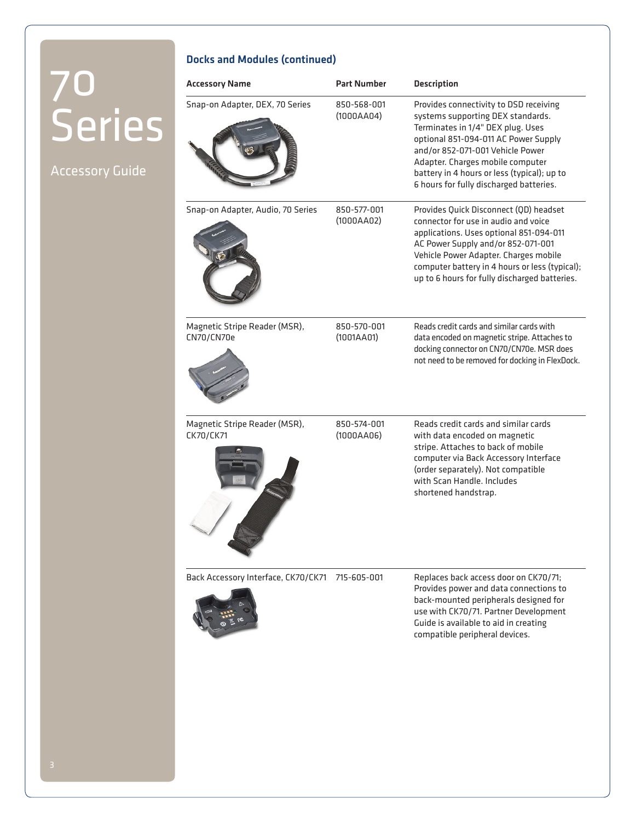Accessory Guide

#### Docks and Modules (continued)

| <b>Accessory Name</b>                       | <b>Part Number</b>        | <b>Description</b>                                                                                                                                                                                                                                                                                                         |
|---------------------------------------------|---------------------------|----------------------------------------------------------------------------------------------------------------------------------------------------------------------------------------------------------------------------------------------------------------------------------------------------------------------------|
| Snap-on Adapter, DEX, 70 Series             | 850-568-001<br>(1000AAO4) | Provides connectivity to DSD receiving<br>systems supporting DEX standards.<br>Terminates in 1/4" DEX plug. Uses<br>optional 851-094-011 AC Power Supply<br>and/or 852-071-001 Vehicle Power<br>Adapter. Charges mobile computer<br>battery in 4 hours or less (typical); up to<br>6 hours for fully discharged batteries. |
| Snap-on Adapter, Audio, 70 Series           | 850-577-001<br>(1000AAO2) | Provides Quick Disconnect (QD) headset<br>connector for use in audio and voice<br>applications. Uses optional 851-094-011<br>AC Power Supply and/or 852-071-001<br>Vehicle Power Adapter. Charges mobile<br>computer battery in 4 hours or less (typical);<br>up to 6 hours for fully discharged batteries.                |
| Magnetic Stripe Reader (MSR),<br>CN70/CN70e | 850-570-001<br>(1001AA01) | Reads credit cards and similar cards with<br>data encoded on magnetic stripe. Attaches to<br>docking connector on CN70/CN70e. MSR does<br>not need to be removed for docking in FlexDock.                                                                                                                                  |
| Magnetic Stripe Reader (MSR),<br>CK70/CK71  | 850-574-001<br>(1000AAO6) | Reads credit cards and similar cards<br>with data encoded on magnetic<br>stripe. Attaches to back of mobile<br>computer via Back Accessory Interface<br>(order separately). Not compatible<br>with Scan Handle, Includes<br>shortened handstrap.                                                                           |
| Back Accessory Interface, CK70/CK71         | 715-605-001               | Replaces back access door on CK70/71;<br>Provides power and data connections to<br>back-mounted peripherals designed for<br>use with CK70/71. Partner Development<br>Guide is available to aid in creating<br>compatible peripheral devices.                                                                               |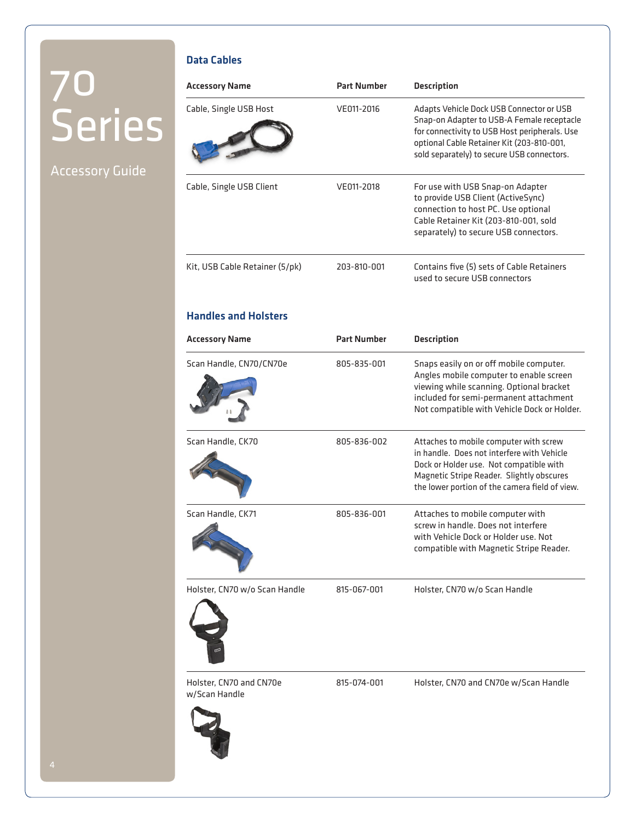### Accessory Guide

#### Data Cables

| <b>Accessory Name</b>                    | <b>Part Number</b> | <b>Description</b>                                                                                                                                                                                                                 |
|------------------------------------------|--------------------|------------------------------------------------------------------------------------------------------------------------------------------------------------------------------------------------------------------------------------|
| Cable, Single USB Host                   | VE011-2016         | Adapts Vehicle Dock USB Connector or USB<br>Snap-on Adapter to USB-A Female receptacle<br>for connectivity to USB Host peripherals. Use<br>optional Cable Retainer Kit (203-810-001,<br>sold separately) to secure USB connectors. |
| Cable, Single USB Client                 | VE011-2018         | For use with USB Snap-on Adapter<br>to provide USB Client (ActiveSync)<br>connection to host PC. Use optional<br>Cable Retainer Kit (203-810-001, sold<br>separately) to secure USB connectors.                                    |
| Kit, USB Cable Retainer (5/pk)           | 203-810-001        | Contains five (5) sets of Cable Retainers<br>used to secure USB connectors                                                                                                                                                         |
| <b>Handles and Holsters</b>              |                    |                                                                                                                                                                                                                                    |
| <b>Accessory Name</b>                    | <b>Part Number</b> | <b>Description</b>                                                                                                                                                                                                                 |
| Scan Handle, CN70/CN70e                  | 805-835-001        | Snaps easily on or off mobile computer.<br>Angles mobile computer to enable screen<br>viewing while scanning. Optional bracket<br>included for semi-permanent attachment<br>Not compatible with Vehicle Dock or Holder.            |
| Scan Handle, CK70                        | 805-836-002        | Attaches to mobile computer with screw<br>in handle. Does not interfere with Vehicle<br>Dock or Holder use. Not compatible with<br>Magnetic Stripe Reader. Slightly obscures<br>the lower portion of the camera field of view.     |
| Scan Handle, CK71                        | 805-836-001        | Attaches to mobile computer with<br>screw in handle. Does not interfere<br>with Vehicle Dock or Holder use. Not<br>compatible with Magnetic Stripe Reader.                                                                         |
| Holster, CN70 w/o Scan Handle            | 815-067-001        | Holster, CN70 w/o Scan Handle                                                                                                                                                                                                      |
| Holster, CN70 and CN70e<br>w/Scan Handle | 815-074-001        | Holster, CN70 and CN70e w/Scan Handle                                                                                                                                                                                              |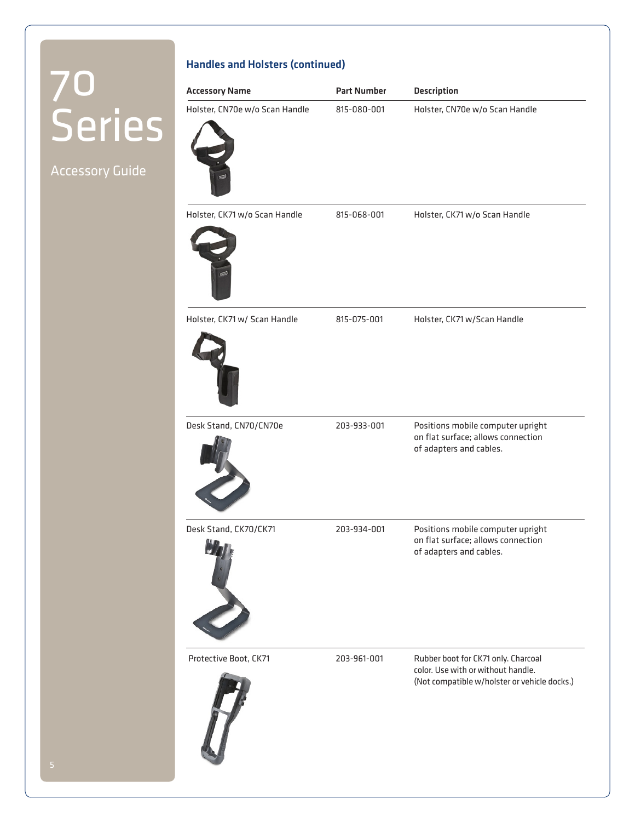Accessory Guide

| <b>Accessory Name</b>          | <b>Part Number</b> | <b>Description</b>                                                                                 |
|--------------------------------|--------------------|----------------------------------------------------------------------------------------------------|
| Holster, CN70e w/o Scan Handle | 815-080-001        | Holster, CN70e w/o Scan Handle                                                                     |
| Holster, CK71 w/o Scan Handle  | 815-068-001        | Holster, CK71 w/o Scan Handle                                                                      |
| Holster, CK71 w/ Scan Handle   | 815-075-001        | Holster, CK71 w/Scan Handle                                                                        |
| Desk Stand, CN70/CN70e         | 203-933-001        | Positions mobile computer upright<br>on flat surface; allows connection<br>of adapters and cables. |
| Desk Stand, CK70/CK71          | 203-934-001        | Positions mobile computer upright<br>on flat surface; allows connection<br>of adapters and cables. |

Protective Boot, CK71 203-961-001 Rubber boot for CK71 only. Charcoal color. Use with or without handle. (Not compatible w/holster or vehicle docks.)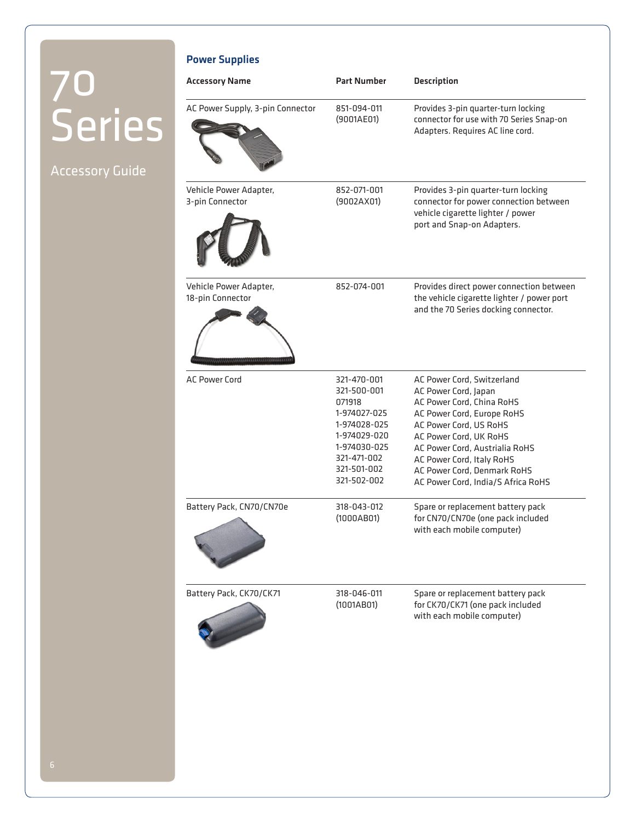Power Supplies

### Accessory Guide

| <b>Accessory Name</b>                      | <b>Part Number</b>                                                                                                                                | <b>Description</b>                                                                                                                                                                                                                                                                                    |
|--------------------------------------------|---------------------------------------------------------------------------------------------------------------------------------------------------|-------------------------------------------------------------------------------------------------------------------------------------------------------------------------------------------------------------------------------------------------------------------------------------------------------|
| AC Power Supply, 3-pin Connector           | 851-094-011<br>(9001AE01)                                                                                                                         | Provides 3-pin quarter-turn locking<br>connector for use with 70 Series Snap-on<br>Adapters. Requires AC line cord.                                                                                                                                                                                   |
| Vehicle Power Adapter,<br>3-pin Connector  | 852-071-001<br>(9002AX01)                                                                                                                         | Provides 3-pin quarter-turn locking<br>connector for power connection between<br>vehicle cigarette lighter / power<br>port and Snap-on Adapters.                                                                                                                                                      |
| Vehicle Power Adapter,<br>18-pin Connector | 852-074-001                                                                                                                                       | Provides direct power connection between<br>the vehicle cigarette lighter / power port<br>and the 70 Series docking connector.                                                                                                                                                                        |
| <b>AC Power Cord</b>                       | 321-470-001<br>321-500-001<br>071918<br>1-974027-025<br>1-974028-025<br>1-974029-020<br>1-974030-025<br>321-471-002<br>321-501-002<br>321-502-002 | AC Power Cord, Switzerland<br>AC Power Cord, Japan<br>AC Power Cord, China RoHS<br>AC Power Cord, Europe RoHS<br>AC Power Cord, US RoHS<br>AC Power Cord, UK RoHS<br>AC Power Cord, Austrialia RoHS<br>AC Power Cord, Italy RoHS<br>AC Power Cord, Denmark RoHS<br>AC Power Cord, India/S Africa RoHS |
| Battery Pack, CN70/CN70e                   | 318-043-012<br>(1000AB01)                                                                                                                         | Spare or replacement battery pack<br>for CN70/CN70e (one pack included<br>with each mobile computer)                                                                                                                                                                                                  |
| Battery Pack, CK70/CK71                    | 318-046-011<br>(1001AB01)                                                                                                                         | Spare or replacement battery pack<br>for CK70/CK71 (one pack included<br>with each mobile computer)                                                                                                                                                                                                   |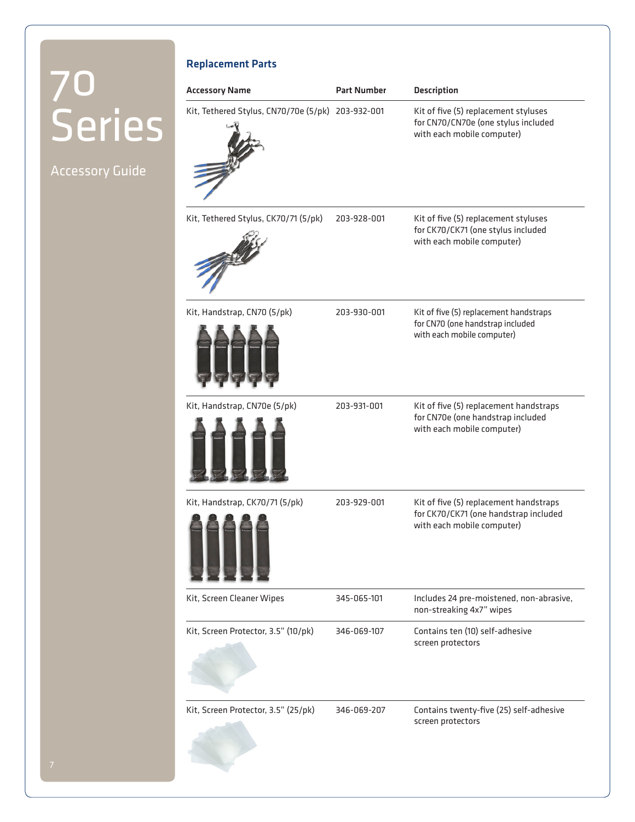Accessory Guide

| <b>Replacement Parts</b>                          |                    |                                                                                                               |
|---------------------------------------------------|--------------------|---------------------------------------------------------------------------------------------------------------|
| <b>Accessory Name</b>                             | <b>Part Number</b> | <b>Description</b>                                                                                            |
| Kit, Tethered Stylus, CN70/70e (5/pk) 203-932-001 |                    | Kit of five (5) replacement styluses<br>for CN70/CN70e (one stylus included<br>with each mobile computer)     |
| Kit, Tethered Stylus, CK70/71 (5/pk)              | 203-928-001        | Kit of five (5) replacement styluses<br>for CK70/CK71 (one stylus included<br>with each mobile computer)      |
| Kit, Handstrap, CN70 (5/pk)                       | 203-930-001        | Kit of five (5) replacement handstraps<br>for CN70 (one handstrap included<br>with each mobile computer)      |
| Kit, Handstrap, CN70e (5/pk)                      | 203-931-001        | Kit of five (5) replacement handstraps<br>for CN70e (one handstrap included<br>with each mobile computer)     |
| Kit, Handstrap, CK70/71 (5/pk)                    | 203-929-001        | Kit of five (5) replacement handstraps<br>for CK70/CK71 (one handstrap included<br>with each mobile computer) |
| Kit, Screen Cleaner Wipes                         | 345-065-101        | Includes 24 pre-moistened, non-abrasive,<br>non-streaking 4x7" wipes                                          |
| Kit, Screen Protector, 3.5" (10/pk)               | 346-069-107        | Contains ten (10) self-adhesive<br>screen protectors                                                          |
| Kit, Screen Protector, 3.5" (25/pk)               | 346-069-207        | Contains twenty-five (25) self-adhesive<br>screen protectors                                                  |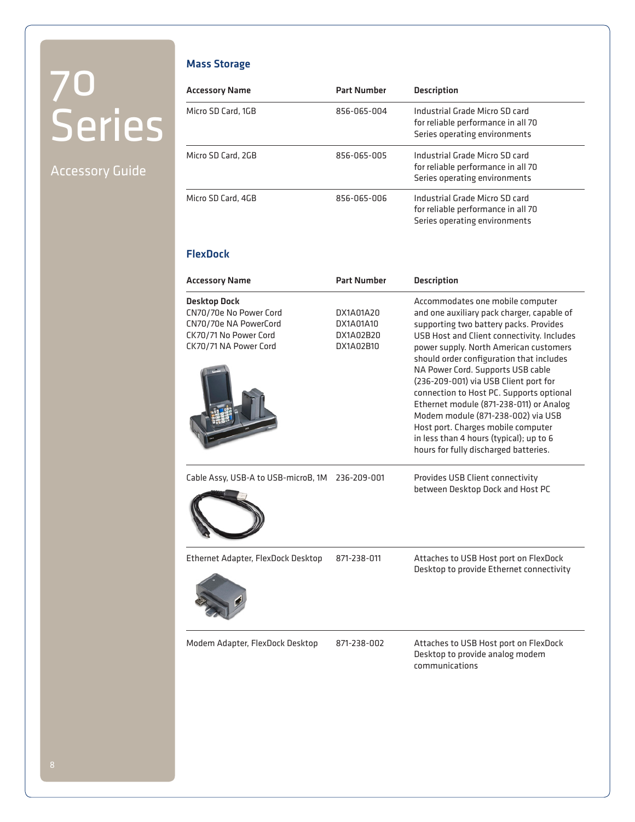#### Accessory Guide

#### Mass Storage

| <b>Accessory Name</b> | <b>Part Number</b> | <b>Description</b>                                                                                    |
|-----------------------|--------------------|-------------------------------------------------------------------------------------------------------|
| Micro SD Card, 1GB    | 856-065-004        | Industrial Grade Micro SD card<br>for reliable performance in all 70<br>Series operating environments |
| Micro SD Card, 2GB    | 856-065-005        | Industrial Grade Micro SD card<br>for reliable performance in all 70<br>Series operating environments |
| Micro SD Card, 4GB    | 856-065-006        | Industrial Grade Micro SD card<br>for reliable performance in all 70<br>Series operating environments |

#### FlexDock

| <b>Accessory Name</b>                                                                                                    | <b>Part Number</b>                               | <b>Description</b>                                                                                                                                                                                                                                                                                                                                                                                                                                                                                                                                                                                |
|--------------------------------------------------------------------------------------------------------------------------|--------------------------------------------------|---------------------------------------------------------------------------------------------------------------------------------------------------------------------------------------------------------------------------------------------------------------------------------------------------------------------------------------------------------------------------------------------------------------------------------------------------------------------------------------------------------------------------------------------------------------------------------------------------|
| <b>Desktop Dock</b><br>CN70/70e No Power Cord<br>CN70/70e NA PowerCord<br>CK70/71 No Power Cord<br>CK70/71 NA Power Cord | DX1A01A20<br>DX1A01A10<br>DX1A02B20<br>DX1A02B10 | Accommodates one mobile computer<br>and one auxiliary pack charger, capable of<br>supporting two battery packs. Provides<br>USB Host and Client connectivity. Includes<br>power supply. North American customers<br>should order configuration that includes<br>NA Power Cord. Supports USB cable<br>(236-209-001) via USB Client port for<br>connection to Host PC. Supports optional<br>Ethernet module (871-238-011) or Analog<br>Modem module (871-238-002) via USB<br>Host port. Charges mobile computer<br>in less than 4 hours (typical); up to 6<br>hours for fully discharged batteries. |
| Cable Assy, USB-A to USB-microB, 1M 236-209-001                                                                          |                                                  | Provides USB Client connectivity<br>between Desktop Dock and Host PC                                                                                                                                                                                                                                                                                                                                                                                                                                                                                                                              |
| Ethernet Adapter, FlexDock Desktop                                                                                       | 871-238-011                                      | Attaches to USB Host port on FlexDock<br>Desktop to provide Ethernet connectivity                                                                                                                                                                                                                                                                                                                                                                                                                                                                                                                 |
| Modem Adapter, FlexDock Desktop                                                                                          | 871-238-002                                      | Attaches to USB Host port on FlexDock<br>Desktop to provide analog modem<br>communications                                                                                                                                                                                                                                                                                                                                                                                                                                                                                                        |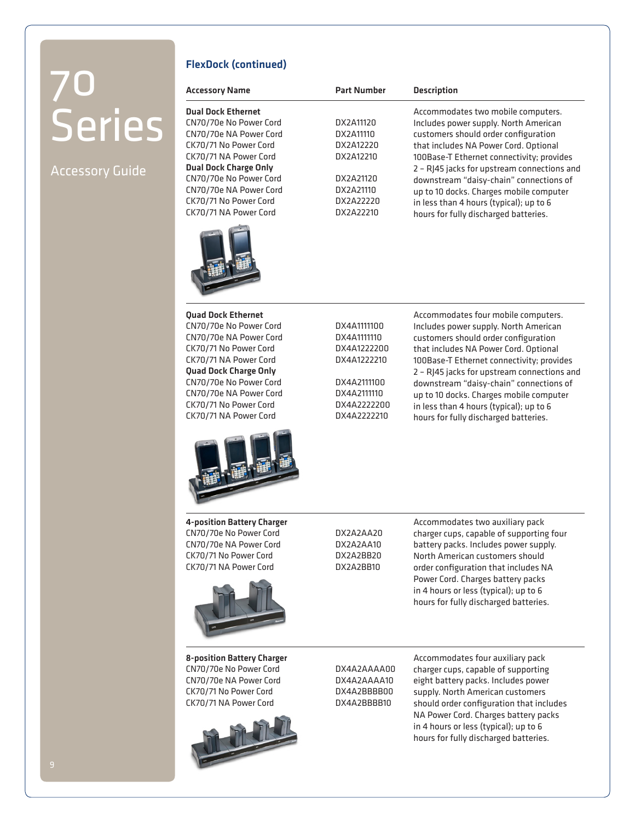#### Accessory Guide

#### FlexDock (continued)

| <b>Accessory Name</b>        | <b>Part Number</b> | <b>Description</b>                          |
|------------------------------|--------------------|---------------------------------------------|
| <b>Dual Dock Ethernet</b>    |                    | Accommodates two mobile computers.          |
| CN70/70e No Power Cord       | DX2A11120          | Includes power supply. North American       |
| CN70/70e NA Power Cord       | DX2A11110          | customers should order configuration        |
| CK70/71 No Power Cord        | DX2A12220          | that includes NA Power Cord. Optional       |
| CK70/71 NA Power Cord        | DX2A12210          | 100Base-T Ethernet connectivity; provides   |
| <b>Dual Dock Charge Only</b> |                    | 2 - RJ45 jacks for upstream connections and |
| CN70/70e No Power Cord       | DX2A21120          | downstream "daisy-chain" connections of     |
| CN70/70e NA Power Cord       | DX2A21110          | up to 10 docks. Charges mobile computer     |
| CK70/71 No Power Cord        | DX2A22220          | in less than 4 hours (typical); up to 6     |
| CK70/71 NA Power Cord        | DX2A22210          | hours for fully discharged batteries.       |
|                              |                    |                                             |



CN70/70e No Power Cord CN70/70e NA Power Cord CK70/71 No Power Cord CK70/71 NA Power Cord Quad Dock Charge Only CN70/70e No Power Cord CN70/70e NA Power Cord CK70/71 No Power Cord CK70/71 NA Power Cord



4-position Battery Charger CN70/70e No Power Cord CN70/70e NA Power Cord CK70/71 No Power Cord CK70/71 NA Power Cord



8-position Battery Charger CN70/70e No Power Cord CN70/70e NA Power Cord CK70/71 No Power Cord CK70/71 NA Power Cord



DX2A2AA10 DX2A2BB20 DX2A2BB10

Accommodates two auxiliary pack charger cups, capable of supporting four battery packs. Includes power supply. North American customers should order configuration that includes NA Power Cord. Charges battery packs in 4 hours or less (typical); up to 6 hours for fully discharged batteries.

Accommodates four mobile computers. Includes power supply. North American customers should order configuration that includes NA Power Cord. Optional 100Base-T Ethernet connectivity; provides 2 – RJ45 jacks for upstream connections and downstream "daisy-chain" connections of up to 10 docks. Charges mobile computer in less than 4 hours (typical); up to 6 hours for fully discharged batteries.

DX4A2AAAA00 DX4A2AAAA10 DX4A2BBBB00 DX4A2BBBB10

Accommodates four auxiliary pack charger cups, capable of supporting eight battery packs. Includes power supply. North American customers should order configuration that includes NA Power Cord. Charges battery packs in 4 hours or less (typical); up to 6 hours for fully discharged batteries.

DX2A2AA20

DX4A1111100 DX4A1111110 DX4A1222200 DX4A1222210

DX4A2111100 DX4A2111110 DX4A2222200 DX4A2222210